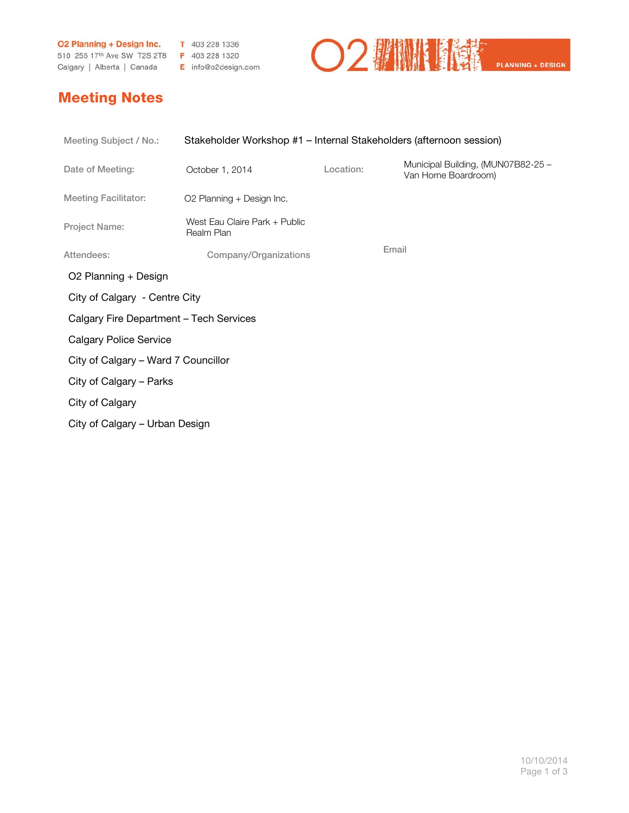**O2 Planning + Design Inc.** T 403 228 1336 510 255 17th Ave SW T2S 2T8 F 403 228 1320 Calgary | Alberta | Canada E info@o2design.com



## Meeting Notes

| Meeting Subject / No.:                  | Stakeholder Workshop #1 – Internal Stakeholders (afternoon session) |           |                                                            |  |  |
|-----------------------------------------|---------------------------------------------------------------------|-----------|------------------------------------------------------------|--|--|
| Date of Meeting:                        | October 1, 2014                                                     | Location: | Municipal Building, (MUN07B82-25 -<br>Van Horne Boardroom) |  |  |
| <b>Meeting Facilitator:</b>             | O2 Planning + Design Inc.                                           |           |                                                            |  |  |
| Project Name:                           | West Eau Claire Park + Public<br>Realm Plan                         |           |                                                            |  |  |
| Attendees:                              | Company/Organizations                                               |           | Email                                                      |  |  |
| O2 Planning + Design                    |                                                                     |           |                                                            |  |  |
|                                         | City of Calgary - Centre City                                       |           |                                                            |  |  |
| Calgary Fire Department - Tech Services |                                                                     |           |                                                            |  |  |
| <b>Calgary Police Service</b>           |                                                                     |           |                                                            |  |  |
| City of Calgary - Ward 7 Councillor     |                                                                     |           |                                                            |  |  |
| City of Calgary - Parks                 |                                                                     |           |                                                            |  |  |
| City of Calgary                         |                                                                     |           |                                                            |  |  |
| City of Calgary - Urban Design          |                                                                     |           |                                                            |  |  |
|                                         |                                                                     |           |                                                            |  |  |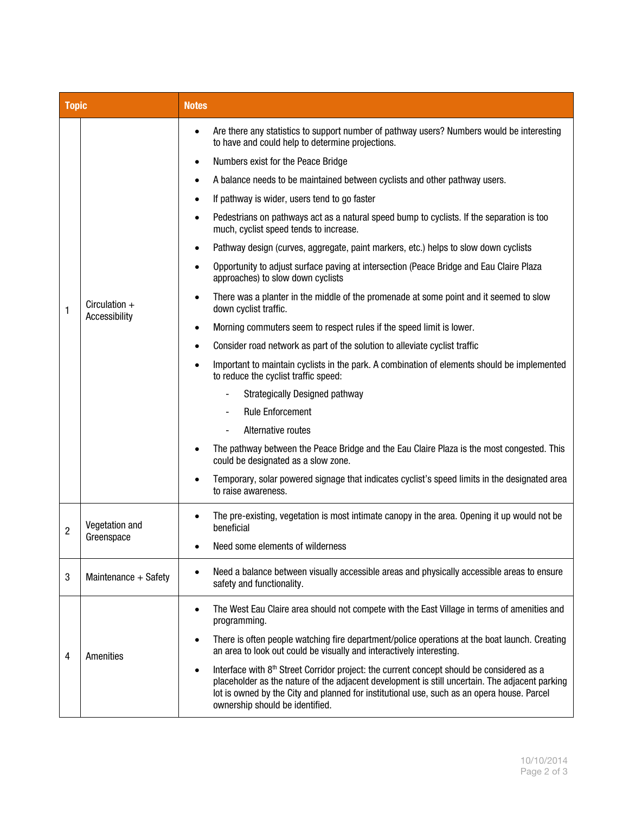| <b>Topic</b>   |                                  | <b>Notes</b>                                                                                                                                                                                                                                                                                                                              |  |  |
|----------------|----------------------------------|-------------------------------------------------------------------------------------------------------------------------------------------------------------------------------------------------------------------------------------------------------------------------------------------------------------------------------------------|--|--|
| 1              | Circulation $+$<br>Accessibility | Are there any statistics to support number of pathway users? Numbers would be interesting<br>$\bullet$<br>to have and could help to determine projections.                                                                                                                                                                                |  |  |
|                |                                  | Numbers exist for the Peace Bridge                                                                                                                                                                                                                                                                                                        |  |  |
|                |                                  | A balance needs to be maintained between cyclists and other pathway users.                                                                                                                                                                                                                                                                |  |  |
|                |                                  | If pathway is wider, users tend to go faster                                                                                                                                                                                                                                                                                              |  |  |
|                |                                  | Pedestrians on pathways act as a natural speed bump to cyclists. If the separation is too<br>much, cyclist speed tends to increase.                                                                                                                                                                                                       |  |  |
|                |                                  | Pathway design (curves, aggregate, paint markers, etc.) helps to slow down cyclists                                                                                                                                                                                                                                                       |  |  |
|                |                                  | Opportunity to adjust surface paving at intersection (Peace Bridge and Eau Claire Plaza<br>approaches) to slow down cyclists                                                                                                                                                                                                              |  |  |
|                |                                  | There was a planter in the middle of the promenade at some point and it seemed to slow<br>down cyclist traffic.                                                                                                                                                                                                                           |  |  |
|                |                                  | Morning commuters seem to respect rules if the speed limit is lower.<br>$\bullet$                                                                                                                                                                                                                                                         |  |  |
|                |                                  | Consider road network as part of the solution to alleviate cyclist traffic                                                                                                                                                                                                                                                                |  |  |
|                |                                  | Important to maintain cyclists in the park. A combination of elements should be implemented<br>to reduce the cyclist traffic speed:                                                                                                                                                                                                       |  |  |
|                |                                  | Strategically Designed pathway                                                                                                                                                                                                                                                                                                            |  |  |
|                |                                  | <b>Rule Enforcement</b>                                                                                                                                                                                                                                                                                                                   |  |  |
|                |                                  | Alternative routes                                                                                                                                                                                                                                                                                                                        |  |  |
|                |                                  | The pathway between the Peace Bridge and the Eau Claire Plaza is the most congested. This<br>could be designated as a slow zone.                                                                                                                                                                                                          |  |  |
|                |                                  | Temporary, solar powered signage that indicates cyclist's speed limits in the designated area<br>to raise awareness.                                                                                                                                                                                                                      |  |  |
| $\overline{c}$ | Vegetation and<br>Greenspace     | The pre-existing, vegetation is most intimate canopy in the area. Opening it up would not be<br>beneficial                                                                                                                                                                                                                                |  |  |
|                |                                  | Need some elements of wilderness                                                                                                                                                                                                                                                                                                          |  |  |
| 3              | Maintenance + Safety             | Need a balance between visually accessible areas and physically accessible areas to ensure<br>safety and functionality.                                                                                                                                                                                                                   |  |  |
| 4              | Amenities                        | The West Eau Claire area should not compete with the East Village in terms of amenities and<br>programming.                                                                                                                                                                                                                               |  |  |
|                |                                  | There is often people watching fire department/police operations at the boat launch. Creating<br>an area to look out could be visually and interactively interesting.                                                                                                                                                                     |  |  |
|                |                                  | Interface with 8th Street Corridor project: the current concept should be considered as a<br>$\bullet$<br>placeholder as the nature of the adjacent development is still uncertain. The adjacent parking<br>lot is owned by the City and planned for institutional use, such as an opera house. Parcel<br>ownership should be identified. |  |  |